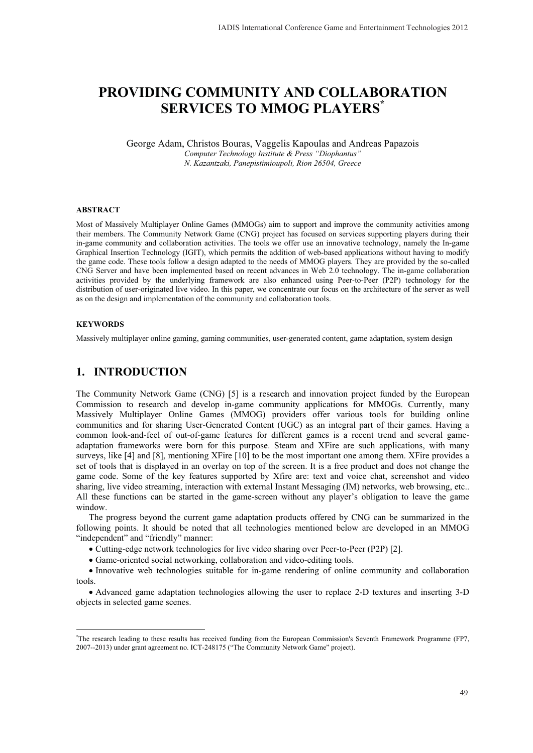# **PROVIDING COMMUNITY AND COLLABORATION SERVICES TO MMOG PLAYERS\***

George Adam, Christos Bouras, Vaggelis Kapoulas and Andreas Papazois<br>Computer Technology Institute & Press "Diophantus" *N. Kazantzaki. Panepistimioupoli. Rion 26504. Greece N. Kazantzaki, Panepistimioupoli, Rion 26504, Greece* 

#### **ABSTRACT**

Most of Massively Multiplayer Online Games (MMOGs) aim to support and improve the community activities among their members. The Community Network Game (CNG) project has focused on services supporting players during their in-game community and collaboration activities. The tools we offer use an innovative technology, namely the In-game Graphical Insertion Technology (IGIT), which permits the addition of web-based applications without having to modify the game code. These tools follow a design adapted to the needs of MMOG players. They are provided by the so-called CNG Server and have been implemented based on recent advances in Web 2.0 technology. The in-game collaboration activities provided by the underlying framework are also enhanced using Peer-to-Peer (P2P) technology for the distribution of user-originated live video. In this paper, we concentrate our focus on the architecture of the server as well as on the design and implementation of the community and collaboration tools.

#### **KEYWORDS**

Massively multiplayer online gaming, gaming communities, user-generated content, game adaptation, system design

#### **1. INTRODUCTION**

The Community Network Game (CNG) [5] is a research and innovation project funded by the European Commission to research and develop in-game community applications for MMOGs. Currently, many Massively Multiplayer Online Games (MMOG) providers offer various tools for building online communities and for sharing User-Generated Content (UGC) as an integral part of their games. Having a common look-and-feel of out-of-game features for different games is a recent trend and several gameadaptation frameworks were born for this purpose. Steam and XFire are such applications, with many surveys, like [4] and [8], mentioning XFire [10] to be the most important one among them. XFire provides a set of tools that is displayed in an overlay on top of the screen. It is a free product and does not change the game code. Some of the key features supported by Xfire are: text and voice chat, screenshot and video sharing, live video streaming, interaction with external Instant Messaging (IM) networks, web browsing, etc.. All these functions can be started in the game-screen without any player's obligation to leave the game window.

The progress beyond the current game adaptation products offered by CNG can be summarized in the following points. It should be noted that all technologies mentioned below are developed in an MMOG "independent" and "friendly" manner:

- Cutting-edge network technologies for live video sharing over Peer-to-Peer (P2P) [2].

- Game-oriented social networking, collaboration and video-editing tools.

- Innovative web technologies suitable for in-game rendering of online community and collaboration tools.

- Advanced game adaptation technologies allowing the user to replace 2-D textures and inserting 3-D objects in selected game scenes.

<sup>\*</sup> The research leading to these results has received funding from the European Commission's Seventh Framework Programme (FP7, 2007--2013) under grant agreement no. ICT-248175 ("The Community Network Game" project).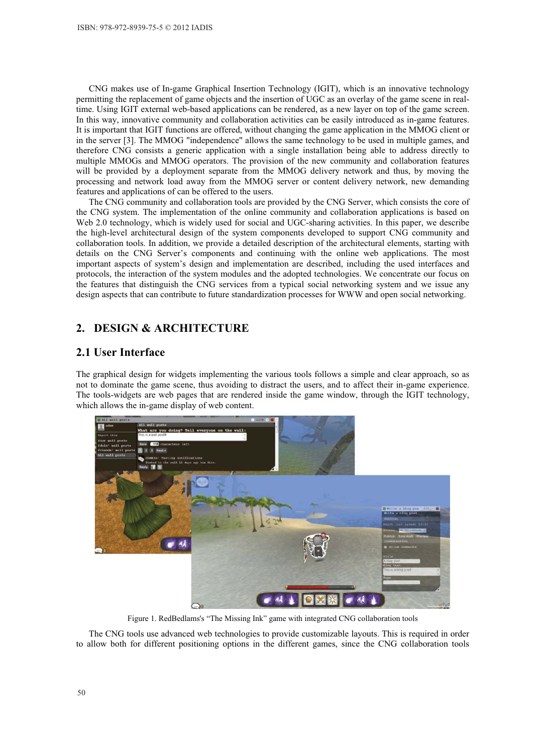CNG makes use of In-game Graphical Insertion Technology (IGIT), which is an innovative technology permitting the replacement of game objects and the insertion of UGC as an overlay of the game scene in realtime. Using IGIT external web-based applications can be rendered, as a new layer on top of the game screen. In this way, innovative community and collaboration activities can be easily introduced as in-game features. It is important that IGIT functions are offered, without changing the game application in the MMOG client or in the server [3]. The MMOG "independence" allows the same technology to be used in multiple games, and therefore CNG consists a generic application with a single installation being able to address directly to multiple MMOGs and MMOG operators. The provision of the new community and collaboration features will be provided by a deployment separate from the MMOG delivery network and thus, by moving the processing and network load away from the MMOG server or content delivery network, new demanding features and applications of can be offered to the users.

The CNG community and collaboration tools are provided by the CNG Server, which consists the core of the CNG system. The implementation of the online community and collaboration applications is based on Web 2.0 technology, which is widely used for social and UGC-sharing activities. In this paper, we describe the high-level architectural design of the system components developed to support CNG community and collaboration tools. In addition, we provide a detailed description of the architectural elements, starting with details on the CNG Server's components and continuing with the online web applications. The most important aspects of system's design and implementation are described, including the used interfaces and protocols, the interaction of the system modules and the adopted technologies. We concentrate our focus on the features that distinguish the CNG services from a typical social networking system and we issue any design aspects that can contribute to future standardization processes for WWW and open social networking.

# **2. DESIGN & ARCHITECTURE**

# **2.1 User Interface**

The graphical design for widgets implementing the various tools follows a simple and clear approach, so as not to dominate the game scene, thus avoiding to distract the users, and to affect their in-game experience. The tools-widgets are web pages that are rendered inside the game window, through the IGIT technology, which allows the in-game display of web content.



Figure 1. RedBedlams's "The Missing Ink" game with integrated CNG collaboration tools

The CNG tools use advanced web technologies to provide customizable layouts. This is required in order to allow both for different positioning options in the different games, since the CNG collaboration tools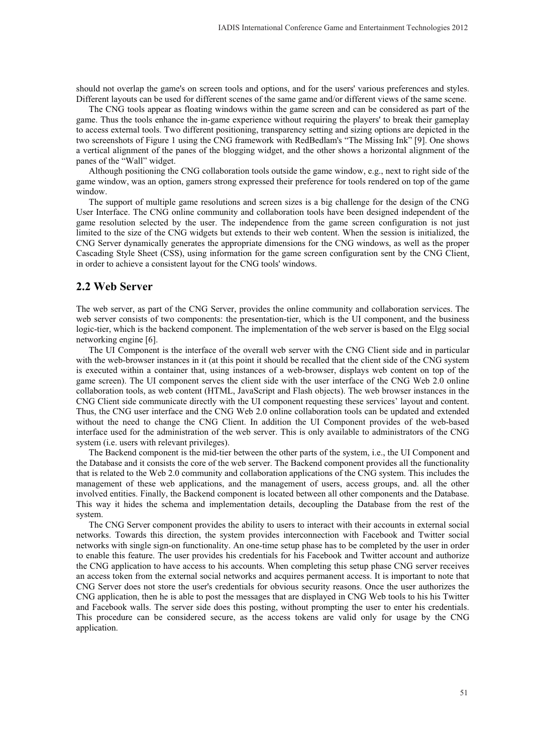should not overlap the game's on screen tools and options, and for the users' various preferences and styles. Different layouts can be used for different scenes of the same game and/or different views of the same scene.

The CNG tools appear as floating windows within the game screen and can be considered as part of the game. Thus the tools enhance the in-game experience without requiring the players' to break their gameplay to access external tools. Two different positioning, transparency setting and sizing options are depicted in the two screenshots of Figure 1 using the CNG framework with RedBedlam's "The Missing Ink" [9]. One shows a vertical alignment of the panes of the blogging widget, and the other shows a horizontal alignment of the panes of the "Wall" widget.

Although positioning the CNG collaboration tools outside the game window, e.g., next to right side of the game window, was an option, gamers strong expressed their preference for tools rendered on top of the game window.

The support of multiple game resolutions and screen sizes is a big challenge for the design of the CNG User Interface. The CNG online community and collaboration tools have been designed independent of the game resolution selected by the user. The independence from the game screen configuration is not just limited to the size of the CNG widgets but extends to their web content. When the session is initialized, the CNG Server dynamically generates the appropriate dimensions for the CNG windows, as well as the proper Cascading Style Sheet (CSS), using information for the game screen configuration sent by the CNG Client, in order to achieve a consistent layout for the CNG tools' windows.

#### **2.2 Web Server**

The web server, as part of the CNG Server, provides the online community and collaboration services. The web server consists of two components: the presentation-tier, which is the UI component, and the business logic-tier, which is the backend component. The implementation of the web server is based on the Elgg social networking engine [6].

The UI Component is the interface of the overall web server with the CNG Client side and in particular with the web-browser instances in it (at this point it should be recalled that the client side of the CNG system is executed within a container that, using instances of a web-browser, displays web content on top of the game screen). The UI component serves the client side with the user interface of the CNG Web 2.0 online collaboration tools, as web content (HTML, JavaScript and Flash objects). The web browser instances in the CNG Client side communicate directly with the UI component requesting these services' layout and content. Thus, the CNG user interface and the CNG Web 2.0 online collaboration tools can be updated and extended without the need to change the CNG Client. In addition the UI Component provides of the web-based interface used for the administration of the web server. This is only available to administrators of the CNG system (i.e. users with relevant privileges).

The Backend component is the mid-tier between the other parts of the system, i.e., the UI Component and the Database and it consists the core of the web server. The Backend component provides all the functionality that is related to the Web 2.0 community and collaboration applications of the CNG system. This includes the management of these web applications, and the management of users, access groups, and. all the other involved entities. Finally, the Backend component is located between all other components and the Database. This way it hides the schema and implementation details, decoupling the Database from the rest of the system.

The CNG Server component provides the ability to users to interact with their accounts in external social networks. Towards this direction, the system provides interconnection with Facebook and Twitter social networks with single sign-on functionality. An one-time setup phase has to be completed by the user in order to enable this feature. The user provides his credentials for his Facebook and Twitter account and authorize the CNG application to have access to his accounts. When completing this setup phase CNG server receives an access token from the external social networks and acquires permanent access. It is important to note that CNG Server does not store the user's credentials for obvious security reasons. Once the user authorizes the CNG application, then he is able to post the messages that are displayed in CNG Web tools to his his Twitter and Facebook walls. The server side does this posting, without prompting the user to enter his credentials. This procedure can be considered secure, as the access tokens are valid only for usage by the CNG application.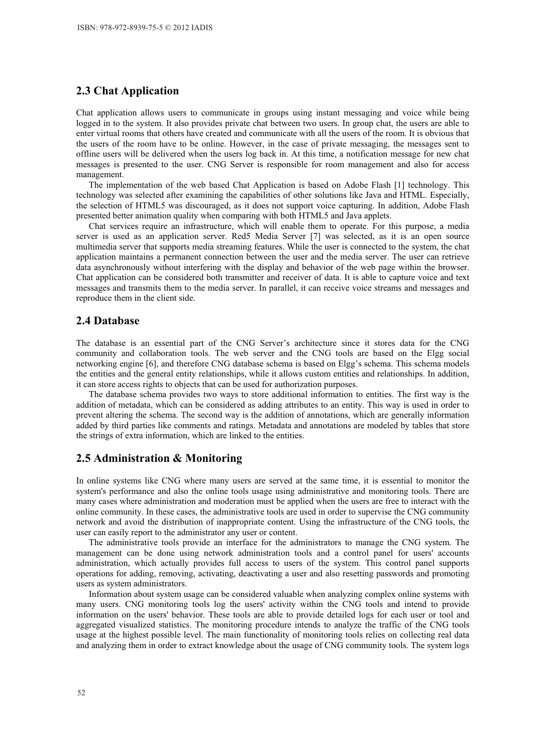## **2.3 Chat Application**

Chat application allows users to communicate in groups using instant messaging and voice while being logged in to the system. It also provides private chat between two users. In group chat, the users are able to enter virtual rooms that others have created and communicate with all the users of the room. It is obvious that the users of the room have to be online. However, in the case of private messaging, the messages sent to offline users will be delivered when the users log back in. At this time, a notification message for new chat messages is presented to the user. CNG Server is responsible for room management and also for access management.

The implementation of the web based Chat Application is based on Adobe Flash [1] technology. This technology was selected after examining the capabilities of other solutions like Java and HTML. Especially, the selection of HTML5 was discouraged, as it does not support voice capturing. In addition, Adobe Flash presented better animation quality when comparing with both HTML5 and Java applets.

Chat services require an infrastructure, which will enable them to operate. For this purpose, a media server is used as an application server. Red5 Media Server [7] was selected, as it is an open source multimedia server that supports media streaming features. While the user is connected to the system, the chat application maintains a permanent connection between the user and the media server. The user can retrieve data asynchronously without interfering with the display and behavior of the web page within the browser. Chat application can be considered both transmitter and receiver of data. It is able to capture voice and text messages and transmits them to the media server. In parallel, it can receive voice streams and messages and reproduce them in the client side.

#### **2.4 Database**

The database is an essential part of the CNG Server's architecture since it stores data for the CNG community and collaboration tools. The web server and the CNG tools are based on the Elgg social networking engine [6], and therefore CNG database schema is based on Elgg's schema. This schema models the entities and the general entity relationships, while it allows custom entities and relationships. In addition, it can store access rights to objects that can be used for authorization purposes.

The database schema provides two ways to store additional information to entities. The first way is the addition of metadata, which can be considered as adding attributes to an entity. This way is used in order to prevent altering the schema. The second way is the addition of annotations, which are generally information added by third parties like comments and ratings. Metadata and annotations are modeled by tables that store the strings of extra information, which are linked to the entities.

#### **2.5 Administration & Monitoring**

In online systems like CNG where many users are served at the same time, it is essential to monitor the system's performance and also the online tools usage using administrative and monitoring tools. There are many cases where administration and moderation must be applied when the users are free to interact with the online community. In these cases, the administrative tools are used in order to supervise the CNG community network and avoid the distribution of inappropriate content. Using the infrastructure of the CNG tools, the user can easily report to the administrator any user or content.

The administrative tools provide an interface for the administrators to manage the CNG system. The management can be done using network administration tools and a control panel for users' accounts administration, which actually provides full access to users of the system. This control panel supports operations for adding, removing, activating, deactivating a user and also resetting passwords and promoting users as system administrators.

Information about system usage can be considered valuable when analyzing complex online systems with many users. CNG monitoring tools log the users' activity within the CNG tools and intend to provide information on the users' behavior. These tools are able to provide detailed logs for each user or tool and aggregated visualized statistics. The monitoring procedure intends to analyze the traffic of the CNG tools usage at the highest possible level. The main functionality of monitoring tools relies on collecting real data and analyzing them in order to extract knowledge about the usage of CNG community tools. The system logs